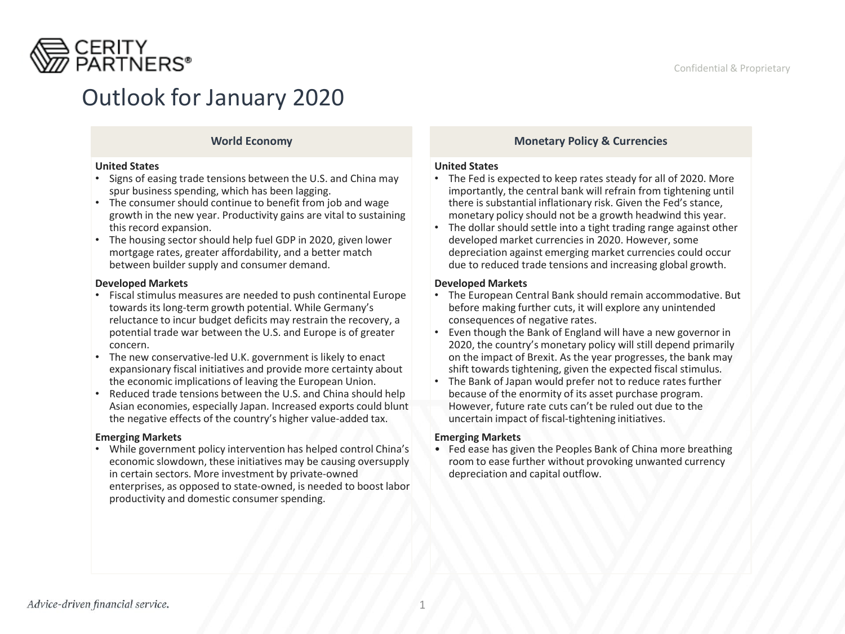

# Outlook for January 2020

### **World Economy**

#### **United States**

- Signs of easing trade tensions between the U.S. and China may spur business spending, which has been lagging.
- The consumer should continue to benefit from job and wage growth in the new year. Productivity gains are vital to sustaining this record expansion.
- The housing sector should help fuel GDP in 2020, given lower mortgage rates, greater affordability, and a better match between builder supply and consumer demand.

### **Developed Markets**

- Fiscal stimulus measures are needed to push continental Europe towards its long-term growth potential. While Germany's reluctance to incur budget deficits may restrain the recovery, a potential trade war between the U.S. and Europe is of greater concern.
- The new conservative-led U.K. government is likely to enact expansionary fiscal initiatives and provide more certainty about the economic implications of leaving the European Union.
- Reduced trade tensions between the U.S. and China should help Asian economies, especially Japan. Increased exports could blunt the negative effects of the country's higher value-added tax.

### **Emerging Markets**

• While government policy intervention has helped control China's economic slowdown, these initiatives may be causing oversupply in certain sectors. More investment by private-owned enterprises, as opposed to state-owned, is needed to boost labor productivity and domestic consumer spending.

## **Monetary Policy & Currencies**

#### **United States**

- The Fed is expected to keep rates steady for all of 2020. More importantly, the central bank will refrain from tightening until there is substantial inflationary risk. Given the Fed's stance, monetary policy should not be a growth headwind this year.
- The dollar should settle into a tight trading range against other developed market currencies in 2020. However, some depreciation against emerging market currencies could occur due to reduced trade tensions and increasing global growth.

### **Developed Markets**

- The European Central Bank should remain accommodative. But before making further cuts, it will explore any unintended consequences of negative rates.
- Even though the Bank of England will have a new governor in 2020, the country's monetary policy will still depend primarily on the impact of Brexit. As the year progresses, the bank may shift towards tightening, given the expected fiscal stimulus.
- The Bank of Japan would prefer not to reduce rates further because of the enormity of its asset purchase program. However, future rate cuts can't be ruled out due to the uncertain impact of fiscal-tightening initiatives.

### **Emerging Markets**

• Fed ease has given the Peoples Bank of China more breathing room to ease further without provoking unwanted currency depreciation and capital outflow.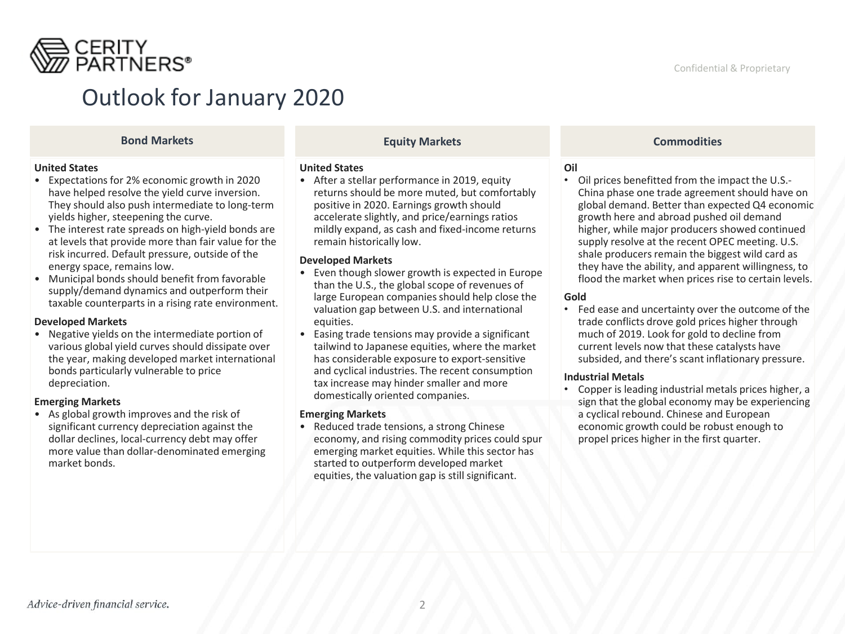

## Outlook for January 2020

#### **United States**

- Expectations for 2% economic growth in 2020 have helped resolve the yield curve inversion. They should also push intermediate to long-term yields higher, steepening the curve.
- The interest rate spreads on high-yield bonds are at levels that provide more than fair value for the risk incurred. Default pressure, outside of the energy space, remains low.
- Municipal bonds should benefit from favorable supply/demand dynamics and outperform their taxable counterparts in a rising rate environment.

#### **Developed Markets**

• Negative yields on the intermediate portion of various global yield curves should dissipate over the year, making developed market international bonds particularly vulnerable to price depreciation.

#### **Emerging Markets**

• As global growth improves and the risk of significant currency depreciation against the dollar declines, local-currency debt may offer more value than dollar-denominated emerging market bonds.

### **Equity Markets Bond Markets Commodities**

#### **United States**

• After a stellar performance in 2019, equity returns should be more muted, but comfortably positive in 2020. Earnings growth should accelerate slightly, and price/earnings ratios mildly expand, as cash and fixed-income returns remain historically low.

#### **Developed Markets**

- Even though slower growth is expected in Europe than the U.S., the global scope of revenues of large European companies should help close the valuation gap between U.S. and international equities.
- Easing trade tensions may provide a significant tailwind to Japanese equities, where the market has considerable exposure to export-sensitive and cyclical industries. The recent consumption tax increase may hinder smaller and more domestically oriented companies.

#### **Emerging Markets**

• Reduced trade tensions, a strong Chinese economy, and rising commodity prices could spur emerging market equities. While this sector has started to outperform developed market equities, the valuation gap is still significant.

#### **Oil**

• Oil prices benefitted from the impact the U.S.- China phase one trade agreement should have on global demand. Better than expected Q4 economic growth here and abroad pushed oil demand higher, while major producers showed continued supply resolve at the recent OPEC meeting. U.S. shale producers remain the biggest wild card as they have the ability, and apparent willingness, to flood the market when prices rise to certain levels.

#### **Gold**

• Fed ease and uncertainty over the outcome of the trade conflicts drove gold prices higher through much of 2019. Look for gold to decline from current levels now that these catalysts have subsided, and there's scant inflationary pressure.

#### **Industrial Metals**

• Copper is leading industrial metals prices higher, a sign that the global economy may be experiencing a cyclical rebound. Chinese and European economic growth could be robust enough to propel prices higher in the first quarter.